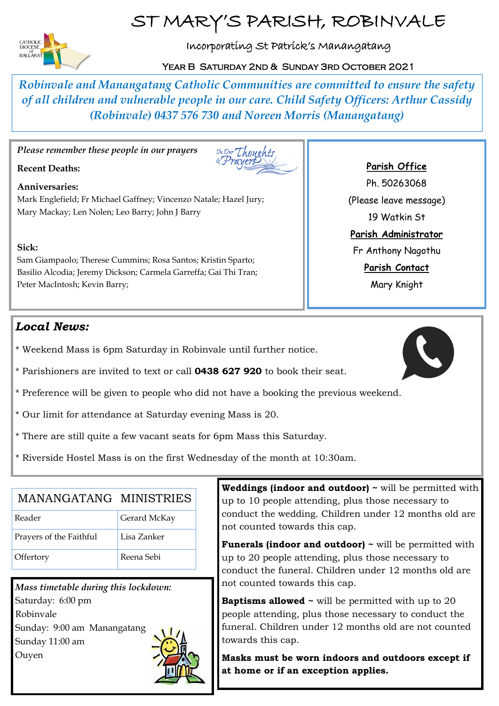# ST MARY'S PARISH, ROBINVALE



# Incorporating St Patrick's Manangatang

### YEAR B SATURDAY 2ND & SUNDAY 3RD OCTOBER 2021

*Robinvale and Manangatang Catholic Communities are committed to ensure the safety of all children and vulnerable people in our care. Child Safety Officers: Arthur Cassidy (Robinvale) 0437 576 730 and Noreen Morris (Manangatang)*

*Please remember these people in our prayers* 

### **Recent Deaths:**



#### **Anniversaries:**

Mark Englefield; Fr Michael Gaffney; Vincenzo Natale; Hazel Jury; Mary Mackay; Len Nolen; Leo Barry; John J Barry

#### **Sick:**

Sam Giampaolo; Therese Cummins; Rosa Santos; Kristin Sparto; Basilio Alcodia; Jeremy Dickson; Carmela Garreffa; Gai Thi Tran; Peter MacIntosh; Kevin Barry;

# *Local News:*

- \* Weekend Mass is 6pm Saturday in Robinvale until further notice.
- \* Parishioners are invited to text or call **0438 627 920** to book their seat.
- \* Preference will be given to people who did not have a booking the previous weekend.
- \* Our limit for attendance at Saturday evening Mass is 20.
- \* There are still quite a few vacant seats for 6pm Mass this Saturday.
- \* Riverside Hostel Mass is on the first Wednesday of the month at 10:30am.

| MANANGATANG MINISTRIES  |              |
|-------------------------|--------------|
| Reader                  | Gerard McKay |
| Prayers of the Faithful | Lisa Zanker  |
| Offertory               | Reena Sebi   |

*Mass timetable during this lockdown:*  Saturday: 6:00 pm Robinvale Sunday: 9:00 am Manangatang Sunday 11:00 am Ouyen



**Weddings (indoor and outdoor) ~** will be permitted with up to 10 people attending, plus those necessary to conduct the wedding. Children under 12 months old are not counted towards this cap.

**Funerals (indoor and outdoor) ~** will be permitted with up to 20 people attending, plus those necessary to conduct the funeral. Children under 12 months old are not counted towards this cap.

**Baptisms allowed ~ will be permitted with up to 20** people attending, plus those necessary to conduct the funeral. Children under 12 months old are not counted towards this cap.

**Masks must be worn indoors and outdoors except if at home or if an exception applies.**

### **Parish Office**

Ph. 50263068 (Please leave message) 19 Watkin St **Parish Administrator** Fr Anthony Nagothu **Parish Contact** Mary Knight

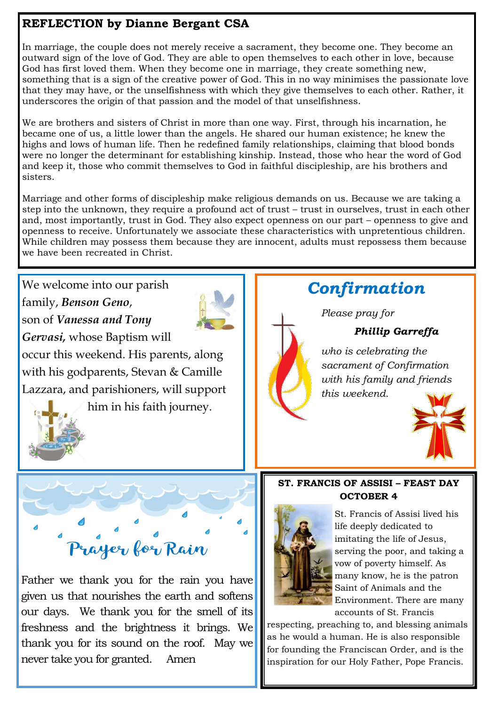# **REFLECTION by Dianne Bergant CSA**

thank you for its sound on the roof. May we

never take you for granted. Amen

In marriage, the couple does not merely receive a sacrament, they become one. They become an outward sign of the love of God. They are able to open themselves to each other in love, because God has first loved them. When they become one in marriage, they create something new, something that is a sign of the creative power of God. This in no way minimises the passionate love that they may have, or the unselfishness with which they give themselves to each other. Rather, it underscores the origin of that passion and the model of that unselfishness.

We are brothers and sisters of Christ in more than one way. First, through his incarnation, he became one of us, a little lower than the angels. He shared our human existence; he knew the highs and lows of human life. Then he redefined family relationships, claiming that blood bonds were no longer the determinant for establishing kinship. Instead, those who hear the word of God and keep it, those who commit themselves to God in faithful discipleship, are his brothers and sisters.

Marriage and other forms of discipleship make religious demands on us. Because we are taking a step into the unknown, they require a profound act of trust – trust in ourselves, trust in each other and, most importantly, trust in God. They also expect openness on our part – openness to give and openness to receive. Unfortunately we associate these characteristics with unpretentious children. While children may possess them because they are innocent, adults must repossess them because we have been recreated in Christ.

We welcome into our parish *Confirmation*  family, *Benson Geno*, *Please pray for*  son of *Vanessa and Tony Phillip Garreffa Gervasi,* whose Baptism will *who is celebrating the*  occur this weekend. His parents, along *sacrament of Confirmation*  with his godparents, Stevan & Camille *with his family and friends*  Lazzara, and parishioners, will support *this weekend.* him in his faith journey. **ST. FRANCIS OF ASSISI - FEAST DAY OCTOBER 4** St. Francis of Assisi lived his life deeply dedicated to imitating the life of Jesus, Prayer for Rain serving the poor, and taking a vow of poverty himself. As many know, he is the patron Father we thank you for the rain you have Saint of Animals and the given us that nourishes the earth and softens Environment. There are many our days. We thank you for the smell of its accounts of St. Francis respecting, preaching to, and blessing animals freshness and the brightness it brings. We

as he would a human. He is also responsible for founding the Franciscan Order, and is the inspiration for our Holy Father, Pope Francis.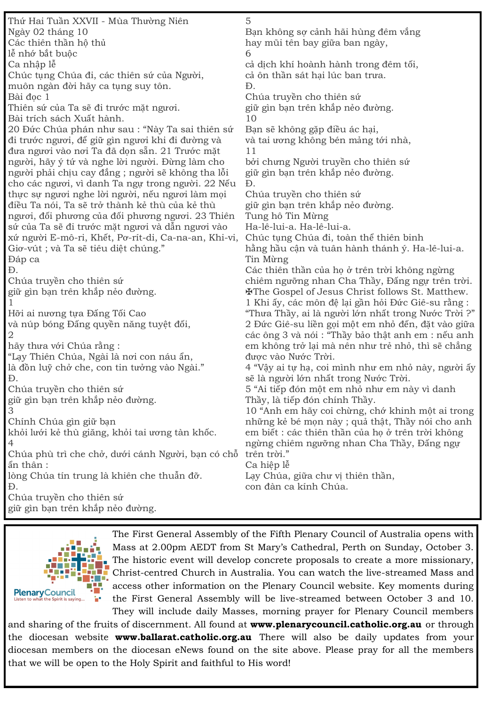Thứ Hai Tuần XXVII - Mùa Thường Niên Ngày 02 tháng 10 Các thiên thần hộ thủ lễ nhớ bắt buộc Ca nhập lễ Chúc tụng Chúa đi, các thiên sứ của Người, muôn ngàn đời hãy ca tụng suy tôn. Bài đọc 1 Thiên sứ của Ta sẽ đi trước mặt ngươi. Bài trích sách Xuất hành. 20 Đức Chúa phán như sau : "Này Ta sai thiên sứ đi trước ngươi, để giữ gìn ngươi khi đi đường và đưa ngươi vào nơi Ta đã dọn sẵn. 21 Trước mặt người, hãy ý tứ và nghe lời người. Đừng làm cho người phải chịu cay đắng ; người sẽ không tha lỗi cho các ngươi, vì danh Ta ngự trong người. 22 Nếu thực sự ngươi nghe lời người, nếu ngươi làm mọi điều Ta nói, Ta sẽ trở thành kẻ thù của kẻ thù ngươi, đối phương của đối phương ngươi. 23 Thiên sứ của Ta sẽ đi trước mặt ngươi và dẫn ngươi vào xứ người E-mô-ri, Khết, Pơ-rít-di, Ca-na-an, Khi-vi, Giơ-vút ; và Ta sẽ tiêu diệt chúng." Đáp ca Đ. Chúa truyền cho thiên sứ giữ gìn bạn trên khắp nẻo đường. 1 Hỡi ai nương tựa Đấng Tối Cao và núp bóng Đấng quyền năng tuyệt đối, 2 hãy thưa với Chúa rằng : "Lạy Thiên Chúa, Ngài là nơi con náu ẩn, là đồn luỹ chở che, con tin tưởng vào Ngài." Đ. Chúa truyền cho thiên sứ giữ gìn bạn trên khắp nẻo đường. 3 Chính Chúa gìn giữ bạn khỏi lưới kẻ thù giăng, khỏi tai ương tàn khốc. 4 Chúa phù trì che chở, dưới cánh Người, bạn có chỗ trên trời." ẩn thân : lòng Chúa tín trung là khiên che thuẫn đỡ. Đ. Chúa truyền cho thiên sứ giữ gìn bạn trên khắp nẻo đường. 5 Bạn không sợ cảnh hãi hùng đêm vắng hay mũi tên bay giữa ban ngày, 6 cả dịch khí hoành hành trong đêm tối, cả ôn thần sát hại lúc ban trưa. Đ. Chúa truyền cho thiên sứ giữ gìn bạn trên khắp nẻo đường. 10 Bạn sẽ không gặp điều ác hại, và tai ương không bén mảng tới nhà, 11 bởi chưng Người truyền cho thiên sứ giữ gìn bạn trên khắp nẻo đường. Đ. Chúa truyền cho thiên sứ giữ gìn bạn trên khắp nẻo đường. Tung hô Tin Mừng Ha-lê-lui-a. Ha-lê-lui-a. Chúc tụng Chúa đi, toàn thể thiên binh hằng hầu cận và tuân hành thánh ý. Ha-lê-lui-a. Tin Mừng Các thiên thần của họ ở trên trời không ngừng chiêm ngưỡng nhan Cha Thầy, Đấng ngự trên trời. ✠The Gospel of Jesus Christ follows St. Matthew. 1 Khi ấy, các môn đệ lại gần hỏi Đức Giê-su rằng : "Thưa Thầy, ai là người lớn nhất trong Nước Trời ?" 2 Đức Giê-su liền gọi một em nhỏ đến, đặt vào giữa các ông 3 và nói : "Thầy bảo thật anh em : nếu anh em không trở lại mà nên như trẻ nhỏ, thì sẽ chẳng được vào Nước Trời. 4 "Vậy ai tự hạ, coi mình như em nhỏ này, người ấy sẽ là người lớn nhất trong Nước Trời. 5 "Ai tiếp đón một em nhỏ như em này vì danh Thầy, là tiếp đón chính Thầy. 10 "Anh em hãy coi chừng, chớ khinh một ai trong những kẻ bé mọn này ; quả thật, Thầy nói cho anh em biết : các thiên thần của họ ở trên trời không ngừng chiêm ngưỡng nhan Cha Thầy, Đấng ngự Ca hiệp lễ Lạy Chúa, giữa chư vị thiên thần, con đàn ca kính Chúa.



The First General Assembly of the Fifth Plenary Council of Australia opens with Mass at 2.00pm AEDT from St Mary's Cathedral, Perth on Sunday, October 3. The historic event will develop concrete proposals to create a more missionary, Christ-centred Church in Australia. You can watch the live-streamed Mass and access other information on the Plenary Council website. Key moments during the First General Assembly will be live-streamed between October 3 and 10. They will include daily Masses, morning prayer for Plenary Council members

and sharing of the fruits of discernment. All found at **www.plenarycouncil.catholic.org.au** or through the diocesan website **www.ballarat.catholic.org.au** There will also be daily updates from your diocesan members on the diocesan eNews found on the site above. Please pray for all the members that we will be open to the Holy Spirit and faithful to His word!